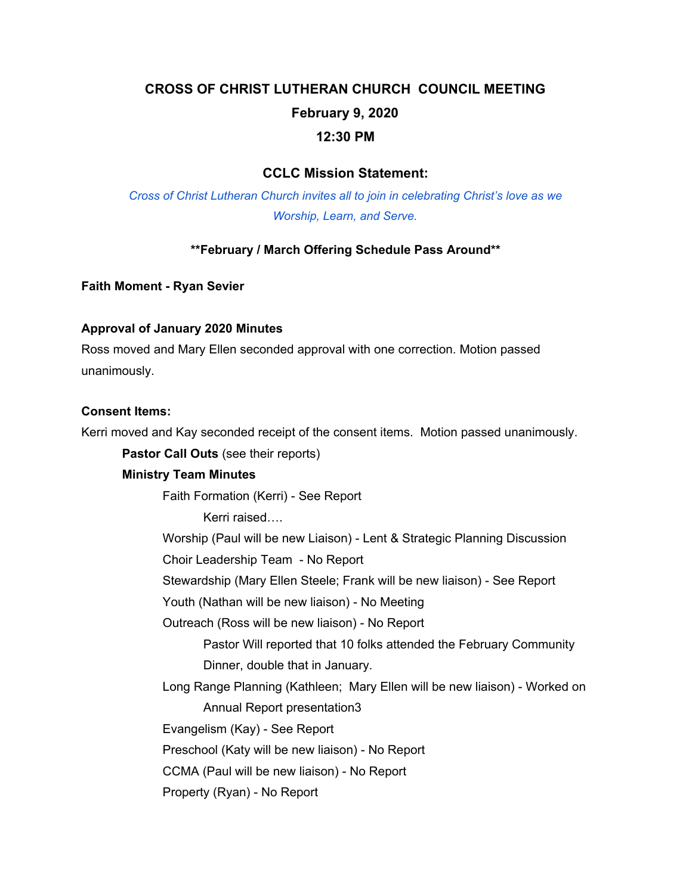# **CROSS OF CHRIST LUTHERAN CHURCH COUNCIL MEETING February 9, 2020 12:30 PM**

# **CCLC Mission Statement:**

*Cross of Christ Lutheran Church invites all to join in celebrating Christ's love as we Worship, Learn, and Serve.*

#### **\*\*February / March Offering Schedule Pass Around\*\***

**Faith Moment - Ryan Sevier**

#### **Approval of January 2020 Minutes**

Ross moved and Mary Ellen seconded approval with one correction. Motion passed unanimously.

#### **Consent Items:**

Kerri moved and Kay seconded receipt of the consent items. Motion passed unanimously.

**Pastor Call Outs** (see their reports)

#### **Ministry Team Minutes**

Faith Formation (Kerri) - See Report

Kerri raised….

Worship (Paul will be new Liaison) - Lent & Strategic Planning Discussion

Choir Leadership Team - No Report

Stewardship (Mary Ellen Steele; Frank will be new liaison) - See Report

Youth (Nathan will be new liaison) - No Meeting

Outreach (Ross will be new liaison) - No Report

Pastor Will reported that 10 folks attended the February Community Dinner, double that in January.

Long Range Planning (Kathleen; Mary Ellen will be new liaison) - Worked on Annual Report presentation3

Evangelism (Kay) - See Report

Preschool (Katy will be new liaison) - No Report

CCMA (Paul will be new liaison) - No Report

Property (Ryan) - No Report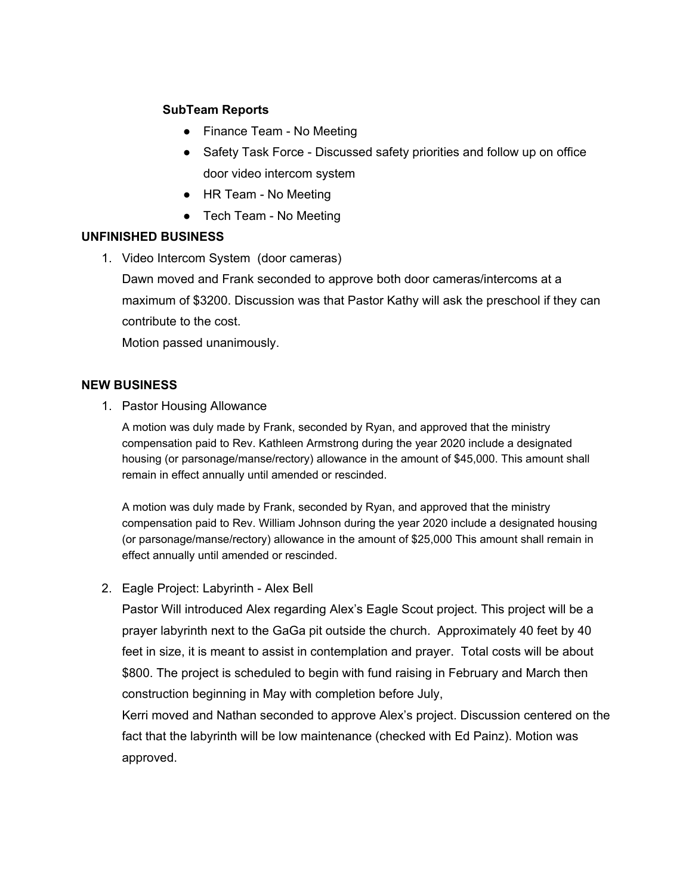## **SubTeam Reports**

- Finance Team No Meeting
- Safety Task Force Discussed safety priorities and follow up on office door video intercom system
- HR Team No Meeting
- Tech Team No Meeting

## **UNFINISHED BUSINESS**

1. Video Intercom System (door cameras)

Dawn moved and Frank seconded to approve both door cameras/intercoms at a maximum of \$3200. Discussion was that Pastor Kathy will ask the preschool if they can contribute to the cost.

Motion passed unanimously.

## **NEW BUSINESS**

1. Pastor Housing Allowance

A motion was duly made by Frank, seconded by Ryan, and approved that the ministry compensation paid to Rev. Kathleen Armstrong during the year 2020 include a designated housing (or parsonage/manse/rectory) allowance in the amount of \$45,000. This amount shall remain in effect annually until amended or rescinded.

A motion was duly made by Frank, seconded by Ryan, and approved that the ministry compensation paid to Rev. William Johnson during the year 2020 include a designated housing (or parsonage/manse/rectory) allowance in the amount of \$25,000 This amount shall remain in effect annually until amended or rescinded.

2. Eagle Project: Labyrinth - Alex Bell

Pastor Will introduced Alex regarding Alex's Eagle Scout project. This project will be a prayer labyrinth next to the GaGa pit outside the church. Approximately 40 feet by 40 feet in size, it is meant to assist in contemplation and prayer. Total costs will be about \$800. The project is scheduled to begin with fund raising in February and March then construction beginning in May with completion before July,

Kerri moved and Nathan seconded to approve Alex's project. Discussion centered on the fact that the labyrinth will be low maintenance (checked with Ed Painz). Motion was approved.